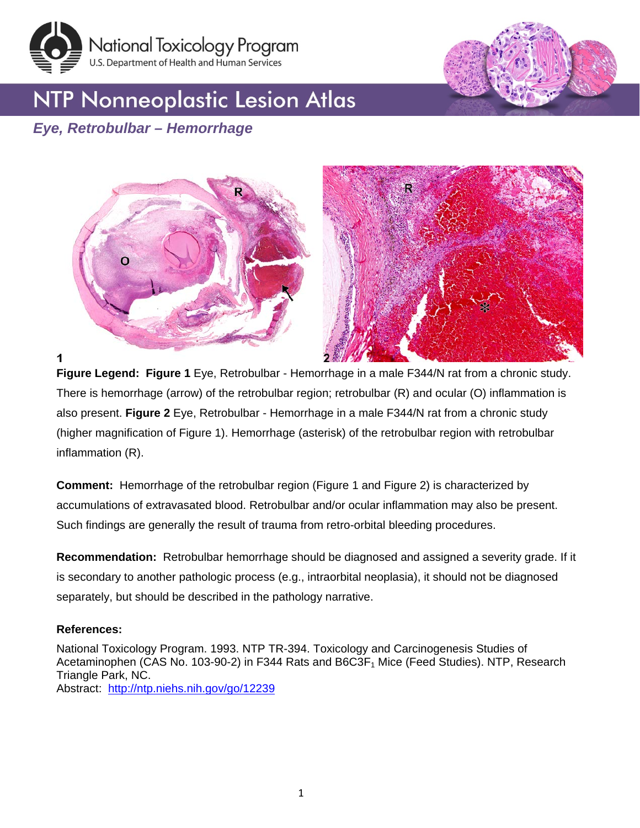





## *Eye, Retrobulbar – Hemorrhage*



1

**Figure Legend: Figure 1** Eye, Retrobulbar - Hemorrhage in a male F344/N rat from a chronic study. There is hemorrhage (arrow) of the retrobulbar region; retrobulbar (R) and ocular (O) inflammation is also present. **Figure 2** Eye, Retrobulbar - Hemorrhage in a male F344/N rat from a chronic study (higher magnification of Figure 1). Hemorrhage (asterisk) of the retrobulbar region with retrobulbar inflammation (R).

**Comment:** Hemorrhage of the retrobulbar region (Figure 1 and Figure 2) is characterized by accumulations of extravasated blood. Retrobulbar and/or ocular inflammation may also be present. Such findings are generally the result of trauma from retro-orbital bleeding procedures.

**Recommendation:** Retrobulbar hemorrhage should be diagnosed and assigned a severity grade. If it is secondary to another pathologic process (e.g., intraorbital neoplasia), it should not be diagnosed separately, but should be described in the pathology narrative.

## **References:**

National Toxicology Program. 1993. NTP TR-394. Toxicology and Carcinogenesis Studies of Acetaminophen (CAS No. 103-90-2) in F344 Rats and B6C3F<sub>1</sub> Mice (Feed Studies). NTP, Research Triangle Park, NC. Abstract: <http://ntp.niehs.nih.gov/go/12239>